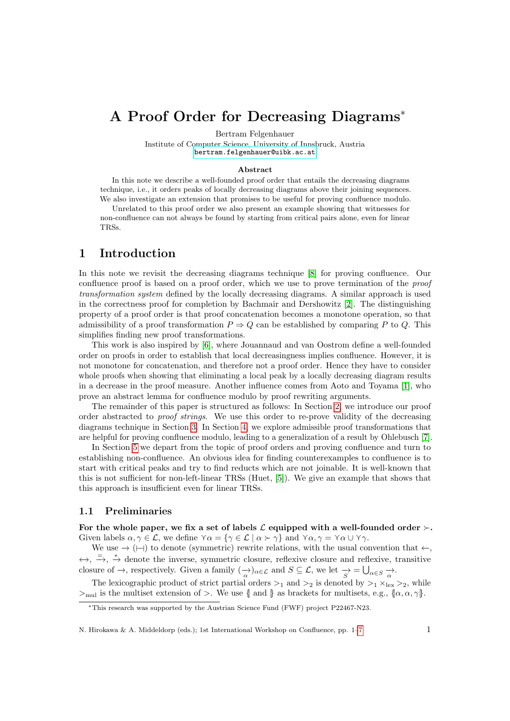# A Proof Order for Decreasing Diagrams<sup>∗</sup>

Bertram Felgenhauer

Institute of Computer Science, University of Innsbruck, Austria <bertram.felgenhauer@uibk.ac.at>

#### Abstract

In this note we describe a well-founded proof order that entails the decreasing diagrams technique, i.e., it orders peaks of locally decreasing diagrams above their joining sequences. We also investigate an extension that promises to be useful for proving confluence modulo.

Unrelated to this proof order we also present an example showing that witnesses for non-confluence can not always be found by starting from critical pairs alone, even for linear TRSs.

### 1 Introduction

In this note we revisit the decreasing diagrams technique [\[8\]](#page-6-0) for proving confluence. Our confluence proof is based on a proof order, which we use to prove termination of the proof transformation system defined by the locally decreasing diagrams. A similar approach is used in the correctness proof for completion by Bachmair and Dershowitz [\[2\]](#page-6-1). The distinguishing property of a proof order is that proof concatenation becomes a monotone operation, so that admissibility of a proof transformation  $P \Rightarrow Q$  can be established by comparing P to Q. This simplifies finding new proof transformations.

This work is also inspired by [\[6\]](#page-6-2), where Jouannaud and van Oostrom define a well-founded order on proofs in order to establish that local decreasingness implies confluence. However, it is not monotone for concatenation, and therefore not a proof order. Hence they have to consider whole proofs when showing that eliminating a local peak by a locally decreasing diagram results in a decrease in the proof measure. Another influence comes from Aoto and Toyama [\[1\]](#page-6-3), who prove an abstract lemma for confluence modulo by proof rewriting arguments.

The remainder of this paper is structured as follows: In Section [2,](#page-1-0) we introduce our proof order abstracted to proof strings. We use this order to re-prove validity of the decreasing diagrams technique in Section [3.](#page-3-0) In Section [4,](#page-4-0) we explore admissible proof transformations that are helpful for proving confluence modulo, leading to a generalization of a result by Ohlebusch [\[7\]](#page-6-4).

In Section [5](#page-6-5) we depart from the topic of proof orders and proving confluence and turn to establishing non-confluence. An obvious idea for finding counterexamples to confluence is to start with critical peaks and try to find reducts which are not joinable. It is well-known that this is not sufficient for non-left-linear TRSs (Huet, [\[5\]](#page-6-6)). We give an example that shows that this approach is insufficient even for linear TRSs.

#### 1.1 Preliminaries

For the whole paper, we fix a set of labels  $\mathcal L$  equipped with a well-founded order  $\succ$ . Given labels  $\alpha, \gamma \in \mathcal{L}$ , we define  $\gamma \alpha = {\gamma \in \mathcal{L} \mid \alpha \succ \gamma}$  and  $\gamma \alpha, \gamma = \gamma \alpha \cup \gamma \gamma$ .

We use  $\rightarrow$  ( $\mapsto$ ) to denote (symmetric) rewrite relations, with the usual convention that  $\leftarrow$ ,  $\leftrightarrow$ ,  $\Rightarrow$ ,  $\stackrel{=}{\rightarrow}$  denote the inverse, symmetric closure, reflexive closure and reflexive, transitive closure of  $\rightarrow$ , respectively. Given a family  $(\rightarrow)_{\alpha \in \mathcal{L}}$  and  $S \subseteq \mathcal{L}$ , we let  $\rightarrow$  =  $\bigcup_{\alpha \in S} \rightarrow \infty$ .

The lexicographic product of strict partial orders  $>_1$  and  $>_2$  is denoted by  $>_1 \times_{\text{lex}} >_2$ , while  $>_{mul}$  is the multiset extension of  $>$ . We use  $\{$  and  $\}$  as brackets for multisets, e.g.,  $\{\alpha, \alpha, \gamma\}$ .

N. Hirokawa & A. Middeldorp (eds.); 1st International Workshop on Confluence, pp. 1[–7](#page-6-7) 1

<sup>∗</sup>This research was supported by the Austrian Science Fund (FWF) project P22467-N23.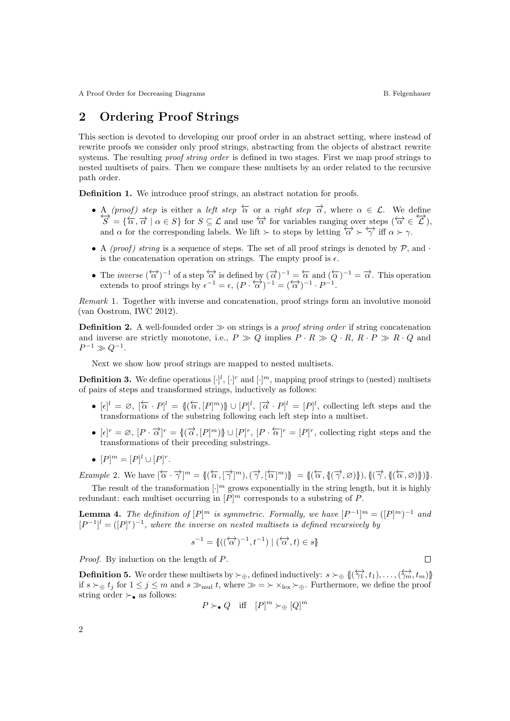## <span id="page-1-0"></span>2 Ordering Proof Strings

This section is devoted to developing our proof order in an abstract setting, where instead of rewrite proofs we consider only proof strings, abstracting from the objects of abstract rewrite systems. The resulting *proof string order* is defined in two stages. First we map proof strings to nested multisets of pairs. Then we compare these multisets by an order related to the recursive path order.

Definition 1. We introduce proof strings, an abstract notation for proofs.

- A (proof) step is either a left step  $\overleftarrow{\alpha}$  or a right step  $\overrightarrow{\alpha}$ , where  $\alpha \in \mathcal{L}$ . We define  $\overleftrightarrow{S} = {\overline{\alpha}, \overrightarrow{\alpha} \mid \alpha \in S}$  for  $S \subseteq \mathcal{L}$  and use  $\overleftrightarrow{\alpha}$  for variables ranging over steps  $(\overleftrightarrow{\alpha} \in \mathcal{L})$ , and  $\alpha$  for the corresponding labels. We lift  $\succ$  to steps by letting  $\overleftrightarrow{\alpha} \succ \overleftrightarrow{\gamma}$  iff  $\alpha \succ \gamma$ .
- A *(proof)* string is a sequence of steps. The set of all proof strings is denoted by  $P$ , and  $\cdot$ is the concatenation operation on strings. The empty proof is  $\epsilon$ .
- The *inverse*  $(\overleftrightarrow{\alpha})^{-1}$  of a step  $\overleftrightarrow{\alpha}$  is defined by  $(\overrightarrow{\alpha})^{-1} = \overleftarrow{\alpha}$  and  $(\overleftarrow{\alpha})^{-1} = \overrightarrow{\alpha}$ . This operation extends to proof strings by  $\epsilon^{-1} = \epsilon$ ,  $(P \cdot \overleftrightarrow{\alpha})^{-1} = (\overleftrightarrow{\alpha})^{-1} \cdot P^{-1}$ .

Remark 1. Together with inverse and concatenation, proof strings form an involutive monoid (van Oostrom, IWC 2012).

**Definition 2.** A well-founded order  $\gg$  on strings is a *proof string order* if string concatenation and inverse are strictly monotone, i.e.,  $P \gg Q$  implies  $P \cdot R \gg Q \cdot R$ ,  $R \cdot P \gg R \cdot Q$  and  $P^{-1} \gg Q^{-1}$ .

Next we show how proof strings are mapped to nested multisets.

**Definition 3.** We define operations  $[\cdot]^l$ ,  $[\cdot]^r$  and  $[\cdot]^m$ , mapping proof strings to (nested) multisets of pairs of steps and transformed strings, inductively as follows:

- $[\epsilon]^l = \emptyset$ ,  $[\overleftarrow{\alpha} \cdot P]^l = \{[(\overleftarrow{\alpha}, [P]^m)]\} \cup [P]^l$ ,  $[\overrightarrow{\alpha} \cdot P]^l = [P]^l$ , collecting left steps and the transformations of the substring following each left step into a multiset.
- $[\epsilon]^r = \emptyset, [P \cdot \overrightarrow{\alpha}]^r = \{(\overrightarrow{\alpha}, [P]^m)\} \cup [P]^r, [P \cdot \overleftarrow{\alpha}]^r = [P]^r$ , collecting right steps and the transformations of their preceding substrings.
- $[P]^m = [P]^l \cup [P]^r$ .

Example 2. We have  $\{\overleftarrow{\alpha} \cdot \overrightarrow{\gamma}\}^m = \{(\overleftarrow{\alpha}, \overrightarrow{\gamma}\}^m), (\overrightarrow{\gamma}, \overleftarrow{\alpha}\}^m)\} = \{(\overleftarrow{\alpha}, \{\overrightarrow{\gamma}, \emptyset\}), \{(\overrightarrow{\gamma}, \{\overleftarrow{\alpha}, \emptyset\}\})\}$ 

The result of the transformation  $[\cdot]^m$  grows exponentially in the string length, but it is highly redundant: each multiset occurring in  $[P]^m$  corresponds to a substring of P.

<span id="page-1-1"></span>**Lemma 4.** The definition of  $[P]^m$  is symmetric. Formally, we have  $[P^{-1}]^m = (P^m)^{-1}$  and  $[P^{-1}]^l = (P^r)^{-1}$ , where the inverse on nested multisets is defined recursively by

$$
s^{-1} = \{ ((\overleftrightarrow{\alpha})^{-1}, t^{-1}) \mid (\overleftrightarrow{\alpha}, t) \in s \}
$$

Proof. By induction on the length of P.

**Definition 5.** We order these multisets by  $\succ_{\oplus}$ , defined inductively:  $s \succ_{\oplus} \{(\overleftrightarrow{\gamma_1}, t_1), \ldots, (\overleftrightarrow{\gamma_m}, t_m)\}$ if  $s \succ_{\oplus} t_j$  for  $1 \leq j \leq m$  and  $s \gg_{\text{mul}} t$ , where  $\gg \Rightarrow \times_{\text{lex}} \succ_{\oplus}$ . Furthermore, we define the proof string order  $\succ$ <sub>•</sub> as follows:

$$
P \succ_{\bullet} Q \quad \text{iff} \quad [P]^m \succ_{\oplus} [Q]^m
$$

 $\Box$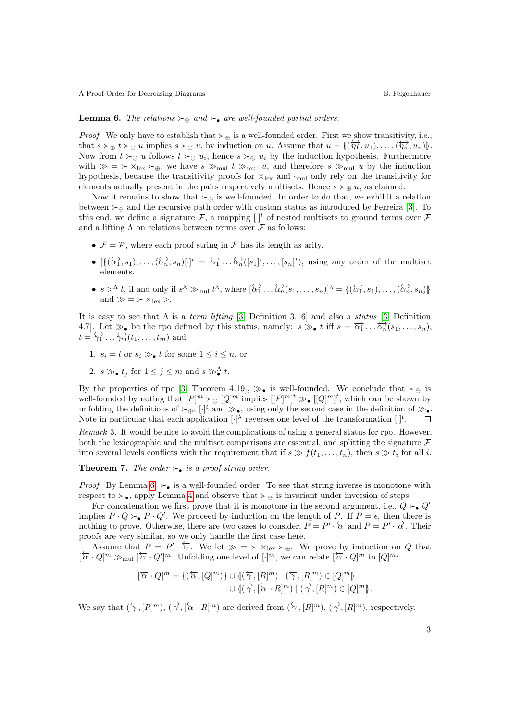#### <span id="page-2-0"></span>**Lemma 6.** The relations  $\succ_{\oplus}$  and  $\succ_{\bullet}$  are well-founded partial orders.

*Proof.* We only have to establish that  $\succ_{\oplus}$  is a well-founded order. First we show transitivity, i.e., that  $s \succ_{\oplus} t \succ_{\oplus} u$  implies  $s \succ_{\oplus} u$ , by induction on u. Assume that  $u = \{(\overrightarrow{n_1}, u_1), \ldots, (\overrightarrow{n_n}, u_n)\}\$ . Now from  $t \succ_{\oplus} u$  follows  $t \succ_{\oplus} u_i$ , hence  $s \succ_{\oplus} u_i$  by the induction hypothesis. Furthermore with  $\gg$  =  $\succ \times_{lex} \succ_{\oplus}$ , we have  $s \gg_{mul} t \gg_{mul} u$ , and therefore  $s \gg_{mul} u$  by the induction hypothesis, because the transitivity proofs for  $\times_{\text{lex}}$  and  $\cdot_{\text{mul}}$  only rely on the transitivity for elements actually present in the pairs respectively multisets. Hence  $s \succ_{\oplus} u$ , as claimed.

Now it remains to show that  $\succ_{\oplus}$  is well-founded. In order to do that, we exhibit a relation between  $\succ_{\oplus}$  and the recursive path order with custom status as introduced by Ferreira [\[3\]](#page-6-8). To this end, we define a signature  $\mathcal{F}$ , a mapping  $[\cdot]^t$  of nested multisets to ground terms over  $\mathcal{F}$ and a lifting  $\Lambda$  on relations between terms over  $\mathcal F$  as follows:

- $\mathcal{F} = \mathcal{P}$ , where each proof string in  $\mathcal{F}$  has its length as arity.
- $\bullet \ [\{(\overleftrightarrow{\alpha_1}, s_1), \ldots, (\overleftrightarrow{\alpha_n}, s_n)\}]^t = \overleftrightarrow{\alpha_1} \ldots \overleftrightarrow{\alpha_n}([s_1]^t, \ldots, [s_n]^t),$  using any order of the multiset elements.
- $s > \Lambda$  t, if and only if  $s^{\lambda} \gg_{\text{mul}} t^{\lambda}$ , where  $\{\overleftrightarrow{\alpha_1}, \dots, \overleftrightarrow{\alpha_n}(s_1, \dots, s_n)\}^{\lambda} = \{(\overleftrightarrow{\alpha_1}, s_1), \dots, (\overleftrightarrow{\alpha_n}, s_n)\}$ and  $\gg$  =  $\succ \times$ <sub>lex</sub> >.

It is easy to see that  $\Lambda$  is a term lifting [\[3,](#page-6-8) Definition 3.16] and also a status [3, Definition 4.7]. Let  $\gg_{\bullet}$  be the rpo defined by this status, namely:  $s \gg_{\bullet} t$  iff  $s = \overleftrightarrow{\alpha_1} \dots \overleftrightarrow{\alpha_n} (s_1, \dots, s_n)$ ,  $t = \overleftrightarrow{\gamma_1} \dots \overleftrightarrow{\gamma_m} (t_1, \dots, t_m)$  and

- 1.  $s_i = t$  or  $s_i \gg_t t$  for some  $1 \leq i \leq n$ , or
- 2.  $s \gg_{\bullet} t_j$  for  $1 \leq j \leq m$  and  $s \gg_{\bullet}^{\Lambda} t$ .

By the properties of rpo [\[3,](#page-6-8) Theorem 4.19],  $\gg_{\bullet}$  is well-founded. We conclude that  $\succ_{\oplus}$  is well-founded by noting that  $[P]^m \succ_{\oplus} [Q]^m$  implies  $[[P]^m]^t \gg \textbf{E}[[Q]^m]^t$ , which can be shown by unfolding the definitions of  $\succ_{\oplus}$ ,  $[\cdot]^t$  and  $\gg_{\bullet}$ , using only the second case in the definition of  $\gg_{\bullet}$ . Note in particular that each application  $\lceil \cdot \rceil^{\lambda}$  reverses one level of the transformation  $\lceil \cdot \rceil^t$ .  $\Box$ Remark 3. It would be nice to avoid the complications of using a general status for rpo. However, both the lexicographic and the multiset comparisons are essential, and splitting the signature  $\mathcal F$ into several levels conflicts with the requirement that if  $s \gg f(t_1, \ldots, t_n)$ , then  $s \gg t_i$  for all i.

<span id="page-2-1"></span>**Theorem 7.** The order  $\succ$ , is a proof string order.

*Proof.* By Lemma  $6, \succ_{\bullet}$  is a well-founded order. To see that string inverse is monotone with respect to  $\succ_{\bullet}$ , apply Lemma [4](#page-1-1) and observe that  $\succ_{\oplus}$  is invariant under inversion of steps.

For concatenation we first prove that it is monotone in the second argument, i.e.,  $Q \succ_{\bullet} Q'$ implies  $P \cdot Q \succ_{\bullet} P \cdot Q'$ . We proceed by induction on the length of P. If  $P = \epsilon$ , then there is nothing to prove. Otherwise, there are two cases to consider,  $P = P' \cdot \overline{\alpha}$  and  $P = P' \cdot \overline{\alpha}$ . Their proofs are very similar, so we only handle the first case here.

Assume that  $P = P' \cdot \overleftarrow{\alpha}$ . We let  $\gg = \succ \times_{\text{lex}} \succ_{\oplus}$ . We prove by induction on Q that  $[\overleftarrow{\alpha} \cdot Q]^m \gg_{\text{mul}} [\overleftarrow{\alpha} \cdot Q']^m$ . Unfolding one level of  $[\cdot]^m$ , we can relate  $[\overleftarrow{\alpha} \cdot Q]^m$  to  $[Q]^m$ :

$$
[\overleftarrow{\alpha} \cdot Q]^m = \{ (\overleftarrow{\alpha}, [Q]^m) \} \cup \{ (\overleftarrow{\gamma}, [R]^m) \mid (\overleftarrow{\gamma}, [R]^m) \in [Q]^m \}
$$
  

$$
\cup \{ (\overrightarrow{\gamma}, [\overleftarrow{\alpha} \cdot R]^m) \mid (\overrightarrow{\gamma}, [R]^m) \in [Q]^m \}.
$$

We say that  $(\overleftarrow{\gamma}, [R]^m)$ ,  $(\overrightarrow{\gamma}, [\overleftarrow{\alpha} \cdot R]^m)$  are derived from  $(\overleftarrow{\gamma}, [R]^m)$ ,  $(\overrightarrow{\gamma}, [R]^m)$ , respectively.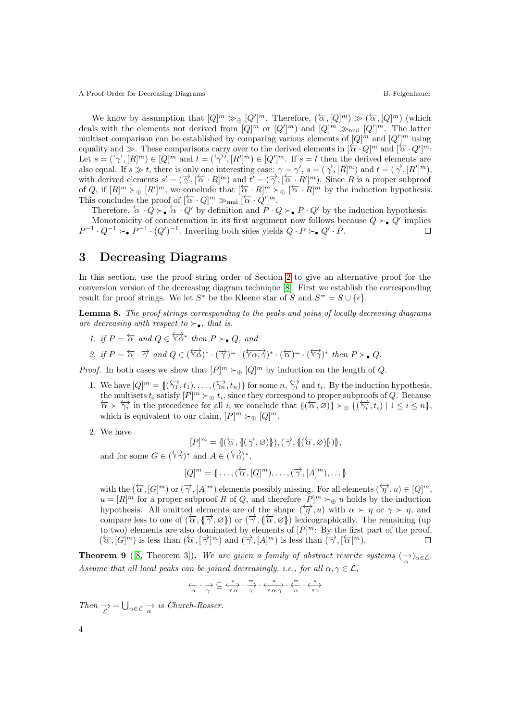We know by assumption that  $[Q]^m \gg_{\oplus} [Q']^m$ . Therefore,  $(\overleftarrow{\alpha}, [Q]^m) \gg (\overleftarrow{\alpha}, [Q]^m)$  (which deals with the elements not derived from  $[Q]^m$  or  $[Q']^m$ ) and  $[Q]^m \gg_{\text{mul}} [Q']^m$ . The latter multiset comparison can be established by comparing various elements of  $[Q]^m$  and  $[Q']^m$  using equality and  $\gg$ . These comparisons carry over to the derived elements in  $\overline{\alpha} \cdot Q^m$  and  $\overline{\alpha} \cdot Q^{\prime m}$ : Let  $s = (\overleftrightarrow{\gamma}, [R]^m) \in [Q]^m$  and  $t = (\overleftrightarrow{\gamma}', [R']^m) \in [Q']^m$ . If  $s = t$  then the derived elements are also equal. If  $s \gg t$ , there is only one interesting case:  $\gamma = \gamma'$ ,  $s = (\overrightarrow{\gamma}, [R]^m)$  and  $t = (\overrightarrow{\gamma}, [R']^m)$ , with derived elements  $s' = (\overrightarrow{\gamma}, [\overleftarrow{\alpha} \cdot R]^m)$  and  $t' = (\overrightarrow{\gamma}, [\overleftarrow{\alpha} \cdot R']^m)$ . Since R is a proper subproof of Q, if  $[R]^m \succ_{\oplus} [R']^m$ , we conclude that  $[\overline{\alpha} \cdot R]^m \succ_{\oplus} [\overline{\alpha} \cdot R]^m$  by the induction hypothesis. This concludes the proof of  $[\overline{\alpha} \cdot Q]^m \gg_{\text{mul}} [\overline{\alpha} \cdot Q']^m$ .

Therefore,  $\overleftarrow{\alpha} \cdot Q \succ_{\bullet} \overleftarrow{\alpha} \cdot Q'$  by definition and  $P \cdot Q \succ_{\bullet} P \cdot Q'$  by the induction hypothesis. Monotonicity of concatenation in its first argument now follows because  $Q \succ_{\bullet} Q'$  implies  $P^{-1} \cdot Q^{-1} \succ_{\bullet} P^{-1} \cdot (Q')^{-1}$ . Inverting both sides yields  $Q \cdot P \succ_{\bullet} Q' \cdot P$ .

## <span id="page-3-0"></span>3 Decreasing Diagrams

In this section, use the proof string order of Section [2](#page-1-0) to give an alternative proof for the conversion version of the decreasing diagram technique [\[8\]](#page-6-0). First we establish the corresponding result for proof strings. We let  $S^*$  be the Kleene star of S and  $S^= = S \cup \{\epsilon\}.$ 

<span id="page-3-1"></span>Lemma 8. The proof strings corresponding to the peaks and joins of locally decreasing diagrams are decreasing with respect to  $\succ_{\bullet}$ , that is,

1. if  $P = \overleftarrow{\alpha}$  and  $Q \in \overleftrightarrow{\alpha}^*$  then  $P \succ_{\bullet} Q$ , and

2. if 
$$
P = \overleftarrow{\alpha} \cdot \overrightarrow{\gamma}
$$
 and  $Q \in (\overleftrightarrow{\gamma\alpha})^* \cdot (\overrightarrow{\gamma})^* \cdot (\overleftrightarrow{\gamma\alpha}, \overrightarrow{\gamma})^* \cdot (\overleftarrow{\alpha})^* \cdot (\overleftrightarrow{\gamma\gamma})^*$  then  $P \succ_{\bullet} Q$ .

*Proof.* In both cases we show that  $[P]^m \succ_{\oplus} [Q]^m$  by induction on the length of Q.

- 1. We have  $[Q]^m = \{(\overleftrightarrow{\gamma_1}, t_1), \ldots, (\overleftrightarrow{\gamma_n}, t_n)\}$  for some  $n, \overleftrightarrow{\gamma_i}$  and  $t_i$ . By the induction hypothesis, the multisets  $t_i$  satisfy  $[P]^m \succ_{\oplus} t_i$ , since they correspond to proper subproofs of Q. Because  $\overleftarrow{\alpha} \succ \overleftrightarrow{\gamma_i}$  in the precedence for all *i*, we conclude that  $\{(\overleftarrow{\alpha}, \varnothing)\}\succ_{\oplus} \{(\overleftarrow{\gamma_i}, t_i) \mid 1 \leq i \leq n\}$ , which is equivalent to our claim,  $[P]^m \succ_{\oplus} [Q]^m$ .
- 2. We have

$$
[P]^m = \{ (\overleftarrow{\alpha}, \{ (\overrightarrow{\gamma}, \varnothing) \}), (\overrightarrow{\gamma}, \{ (\overleftarrow{\alpha}, \varnothing) \} ) \},
$$

and for some  $G \in (\overleftrightarrow{\gamma}\gamma)^*$  and  $A \in (\overleftrightarrow{\gamma}\alpha)^*,$ 

$$
[Q]^m = \{ \ldots, (\overleftarrow{\alpha}, [G]^m), \ldots, (\overrightarrow{\gamma}, [A]^m), \ldots \}
$$

with the  $(\overleftarrow{\alpha}, [G]^m)$  or  $(\overrightarrow{\gamma}, [A]^m)$  elements possibly missing. For all elements  $(\overleftarrow{\eta}, u) \in [Q]^m$ ,  $u = [R]^m$  for a proper subproof R of Q, and therefore  $[P]^m \succ_{\oplus} u$  holds by the induction hypothesis. All omitted elements are of the shape  $(\overleftrightarrow{\eta}, u)$  with  $\alpha \succ \eta$  or  $\gamma \succ \eta$ , and compare less to one of  $(\overleftarrow{\alpha}, \{\overrightarrow{\gamma}, \varnothing\})$  or  $(\overrightarrow{\gamma}, \{\overleftarrow{\alpha}, \varnothing\})$  lexicographically. The remaining (up to two) elements are also dominated by elements of  $[P]^m$ : By the first part of the proof,  $(\overleftarrow{\alpha}, [G]^m)$  is less than  $(\overrightarrow{\alpha}, [\overrightarrow{\gamma}]^m)$  and  $(\overrightarrow{\gamma}, [A]^m)$  is less than  $(\overrightarrow{\gamma}, [\overleftarrow{\alpha}]^m)$ .  $\Box$ 

<span id="page-3-2"></span>**Theorem 9** ([\[8,](#page-6-0) Theorem 3]). We are given a family of abstract rewrite systems  $(\rightarrow)_{\alpha \in \mathcal{L}}$ . Assume that all local peaks can be joined decreasingly, i.e., for all  $\alpha, \gamma \in \mathcal{L}$ ,

$$
\underset{\alpha}{\longleftarrow}\cdot \underset{\gamma}{\rightarrow} \subseteq \underset{\gamma}{\overset{*}{\longleftrightarrow}}\cdot \underset{\gamma}{\overset{=}{\rightarrow}}\cdot \underset{\gamma}{\overset{*}{\longleftrightarrow}}\cdot \underset{\alpha}{\overset{=}{\longleftarrow}}\cdot \underset{\gamma}{\overset{*}{\longleftrightarrow}}
$$

Then  $\frac{\partial}{\partial \zeta} = \bigcup_{\alpha \in \mathcal{L}} \frac{\partial}{\partial \zeta}$  is Church-Rosser.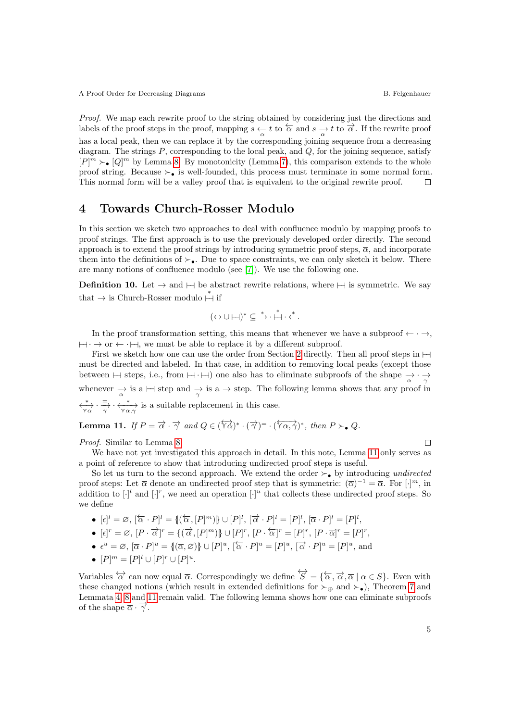Proof. We map each rewrite proof to the string obtained by considering just the directions and labels of the proof steps in the proof, mapping  $s \xrightarrow{\sim} t$  to  $\overline{\alpha}$  and  $s \xrightarrow{\sim} t$  to  $\overline{\alpha}$ . If the rewrite proof has a local peak, then we can replace it by the corresponding joining sequence from a decreasing diagram. The strings  $P$ , corresponding to the local peak, and  $Q$ , for the joining sequence, satisfy  $[P]^m \succ_{\bullet} [Q]^m$  by Lemma [8.](#page-3-1) By monotonicity (Lemma [7\)](#page-2-1), this comparison extends to the whole proof string. Because  $\succ$  is well-founded, this process must terminate in some normal form. This normal form will be a valley proof that is equivalent to the original rewrite proof.  $\Box$ 

### <span id="page-4-0"></span>4 Towards Church-Rosser Modulo

In this section we sketch two approaches to deal with confluence modulo by mapping proofs to proof strings. The first approach is to use the previously developed order directly. The second approach is to extend the proof strings by introducing symmetric proof steps,  $\overline{\alpha}$ , and incorporate them into the definitions of  $\succ_{\bullet}$ . Due to space constraints, we can only sketch it below. There are many notions of confluence modulo (see [\[7\]](#page-6-4)). We use the following one.

**Definition 10.** Let  $\rightarrow$  and  $\mapsto$  be abstract rewrite relations, where  $\mapsto$  is symmetric. We say that  $\rightarrow$  is Church-Rosser modulo  $\stackrel{*}{\leftarrow}$  if

$$
(\leftrightarrow \cup \leftarrow)^\ast \subseteq \overset{\ast}{\to} \cdot \overset{\ast}{\leftarrow} \cdot \overset{\ast}{\leftarrow}.
$$

In the proof transformation setting, this means that whenever we have a subproof  $\leftarrow \cdot \rightarrow$ .  $\vdash \rightarrow$  or  $\leftarrow \cdot \vdash$ , we must be able to replace it by a different subproof.

First we sketch how one can use the order from Section [2](#page-1-0) directly. Then all proof steps in  $\vdash$ must be directed and labeled. In that case, in addition to removing local peaks (except those between `a steps, i.e., from `a · `a) one also has to eliminate subproofs of the shape −→<sup>α</sup> · −→ γ whenever  $\rightarrow \infty$  is a  $\rightarrow$  step. The following lemma shows that any proof in  $\frac{*}{\gamma \alpha} \cdot \frac{=}{\gamma} \cdot \frac{*}{\gamma \alpha, \gamma}$  is a suitable replacement in this case.

<span id="page-4-1"></span>**Lemma 11.** If  $P = \overrightarrow{\alpha} \cdot \overrightarrow{\gamma}$  and  $Q \in (\overleftrightarrow{\gamma\alpha})^* \cdot (\overrightarrow{\gamma})^* \cdot (\overleftrightarrow{\gamma\alpha}, \overrightarrow{\gamma})^*$ , then  $P \succ_{\bullet} Q$ .

Proof. Similar to Lemma [8.](#page-3-1)

We have not yet investigated this approach in detail. In this note, Lemma [11](#page-4-1) only serves as a point of reference to show that introducing undirected proof steps is useful.

So let us turn to the second approach. We extend the order  $\succ$  by introducing undirected proof steps: Let  $\overline{\alpha}$  denote an undirected proof step that is symmetric:  $(\overline{\alpha})^{-1} = \overline{\alpha}$ . For  $[\cdot]^m$ , in addition to  $[\cdot]^l$  and  $[\cdot]^r$ , we need an operation  $[\cdot]^u$  that collects these undirected proof steps. So we define

•  $[\epsilon]^l = \emptyset, [\overleftarrow{\alpha} \cdot P]^l = \{[(\overleftarrow{\alpha}, [P]^m)] \} \cup [P]^l, [\overrightarrow{\alpha} \cdot P]^l = [P]^l, [\overline{\alpha} \cdot P]^l = [P]^l,$ 

• 
$$
[\epsilon]^r = \varnothing
$$
,  $[P \cdot \overrightarrow{\alpha}]^r = \{[(\overrightarrow{\alpha}, [P]^m)]\} \cup [P]^r$ ,  $[P \cdot \overleftarrow{\alpha}]^r = [P]^r$ ,  $[P \cdot \overrightarrow{\alpha}]^r = [P]^r$ ,

• 
$$
\epsilon^u = \varnothing
$$
,  $[\overline{\alpha} \cdot P]^u = \{(\overline{\alpha}, \varnothing)\} \cup [P]^u$ ,  $[\overleftarrow{\alpha} \cdot P]^u = [P]^u$ ,  $[\overrightarrow{\alpha} \cdot P]^u = [P]^u$ , and

$$
\bullet \ [P]^m = [P]^l \cup [P]^r \cup [P]^u.
$$

Variables  $\overleftrightarrow{\alpha}$  can now equal  $\overline{\alpha}$ . Correspondingly we define  $\overleftrightarrow{S} = {\overleftarrow{\alpha}, \overrightarrow{\alpha}, \overrightarrow{\alpha} \mid \alpha \in S}$ . Even with these changed notions (which result in extended definitions for  $\succ_{\oplus}$  and  $\succ_{\bullet}$ ), Theorem [7](#page-2-1) and Lemmata [4,](#page-1-1) [8](#page-3-1) and [11](#page-4-1) remain valid. The following lemma shows how one can eliminate subproofs of the shape  $\overline{\alpha} \cdot \overrightarrow{\gamma}$ .

 $\Box$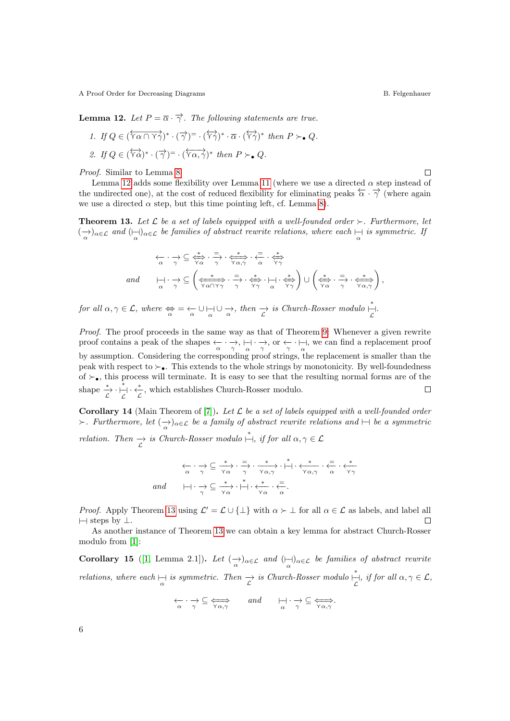$\Box$ 

<span id="page-5-0"></span>**Lemma 12.** Let  $P = \overline{\alpha} \cdot \overrightarrow{\gamma}$ . The following statements are true.

1. If 
$$
Q \in (\overleftrightarrow{\Upsilon \alpha \cap \Upsilon \gamma})^* \cdot (\overrightarrow{\gamma})^= \cdot (\overleftrightarrow{\Upsilon \gamma})^* \cdot \overline{\alpha} \cdot (\overleftrightarrow{\Upsilon \gamma})^* \text{ then } P \succ_{\bullet} Q
$$
.  
\n2. If  $Q \in (\overleftrightarrow{\Upsilon \alpha})^* \cdot (\overrightarrow{\gamma})^= \cdot (\overleftrightarrow{\Upsilon \alpha, \gamma})^* \text{ then } P \succ_{\bullet} Q$ .

Proof. Similar to Lemma [8.](#page-3-1)

Lemma [12](#page-5-0) adds some flexibility over Lemma [11](#page-4-1) (where we use a directed  $\alpha$  step instead of the undirected one), at the cost of reduced flexibility for eliminating peaks  $\overline{\alpha} \cdot \overline{\gamma}$  (where again we use a directed  $\alpha$  step, but this time pointing left, cf. Lemma [8\)](#page-3-1).

<span id="page-5-1"></span>**Theorem 13.** Let  $\mathcal{L}$  be a set of labels equipped with a well-founded order  $\succ$ . Furthermore, let  $\frac{1}{\alpha}(\rightarrow)\_{\alpha\in\mathcal{L}}$  and  $(\rightarrow)\_{\alpha\in\mathcal{L}}$  be families of abstract rewrite relations, where each  $\rightarrow$  is symmetric. If

←− α · −→ γ ⊆ ∗ ⇐⇒gα · =−→ γ · <sup>∗</sup> ⇐=⇒<sup>g</sup>α,γ · =←− α · ∗⇐⇒gγ and `a α · −→ γ ⊆ <sup>∗</sup> ⇐===<sup>⇒</sup> <sup>g</sup>α∩g<sup>γ</sup> · =−→ γ · ∗⇐⇒gγ · `a α · ∗⇐⇒gγ ∪ ∗ ⇐⇒gα · =−→ γ · <sup>∗</sup> ⇐=⇒<sup>g</sup>α,γ ,

for all  $\alpha, \gamma \in \mathcal{L}$ , where  $\Leftrightarrow_{\alpha} = \sum_{\alpha} \cup \bigcup_{\alpha} \cup \sum_{\alpha}$ , then  $\rightarrow_{\mathcal{L}}$  is Church-Rosser modulo  $\bigcup_{\mathcal{L}}^*$ .

Proof. The proof proceeds in the same way as that of Theorem [9:](#page-3-2) Whenever a given rewrite proof contains a peak of the shapes  $\leftarrow \rightarrow$ ,  $\rightarrow$ ,  $\rightarrow$ ,  $\rightarrow$  or  $\leftarrow$   $\rightarrow$ , we can find a replacement proof by assumption. Considering the corresponding proof strings, the replacement is smaller than the peak with respect to  $\succ_{\bullet}$ . This extends to the whole strings by monotonicity. By well-foundedness of  $\succ$ <sub>•</sub>, this process will terminate. It is easy to see that the resulting normal forms are of the shape  $\stackrel{*}{\underset{\mathcal{L}}{\rightarrow}}$   $\cdot \stackrel{*}{\underset{\mathcal{L}}{\rightleftharpoons}}$ , which establishes Church-Rosser modulo.  $\Box$ 

Corollary 14 (Main Theorem of [\[7\]](#page-6-4)). Let  $\mathcal L$  be a set of labels equipped with a well-founded order  $\succ$ . Furthermore, let  $(\rightarrow)_{\alpha \in \mathcal{L}}$  be a family of abstract rewrite relations and  $\mapsto$  be a symmetric relation. Then  $\overrightarrow{c}$  is Church-Rosser modulo  $\stackrel{*}{\vdash}$ , if for all  $\alpha, \gamma \in \mathcal{L}$ 

←− α · −→ γ ⊆ ∗ −−→gα · =−→ γ · <sup>∗</sup> −−−→ <sup>g</sup>α,γ · ∗ `a · <sup>∗</sup> ←−−− gα,γ · =←− α · <sup>∗</sup> ←−− gγ and `a · −→ γ ⊆ ∗ −−→gα · ∗ `a · <sup>∗</sup> ←−− gα · =←− α .

*Proof.* Apply Theorem [13](#page-5-1) using  $\mathcal{L}' = \mathcal{L} \cup \{\perp\}$  with  $\alpha \succ \perp$  for all  $\alpha \in \mathcal{L}$  as labels, and label all  $\vdash$  steps by  $\bot$ .  $\Box$ 

As another instance of Theorem [13](#page-5-1) we can obtain a key lemma for abstract Church-Rosser modulo from [\[1\]](#page-6-3):

**Corollary 15** ([\[1,](#page-6-3) Lemma 2.1]). Let  $(\frac{\rightarrow}{\alpha})_{\alpha \in \mathcal{L}}$  and  $(\frac{\rightarrow}{\alpha})_{\alpha \in \mathcal{L}}$  be families of abstract rewrite relations, where each  $\vdash$  is symmetric. Then  $\rightarrowtail_{\mathcal{L}}$  is Church-Rosser modulo  $\vdasharrow_{\mathcal{L}}$ , if for all  $\alpha, \gamma \in \mathcal{L}$ ,

$$
\underset{\alpha}{\longleftrightarrow}\cdot \underset{\gamma}{\rightarrow}\subseteq\underset{\forall\alpha,\gamma}{\Longleftrightarrow}\qquad\text{and}\qquad \underset{\alpha}{\longmapsto}\cdot\underset{\gamma}{\rightarrow}\subseteq\underset{\forall\alpha,\gamma}{\Longleftrightarrow}.
$$

6